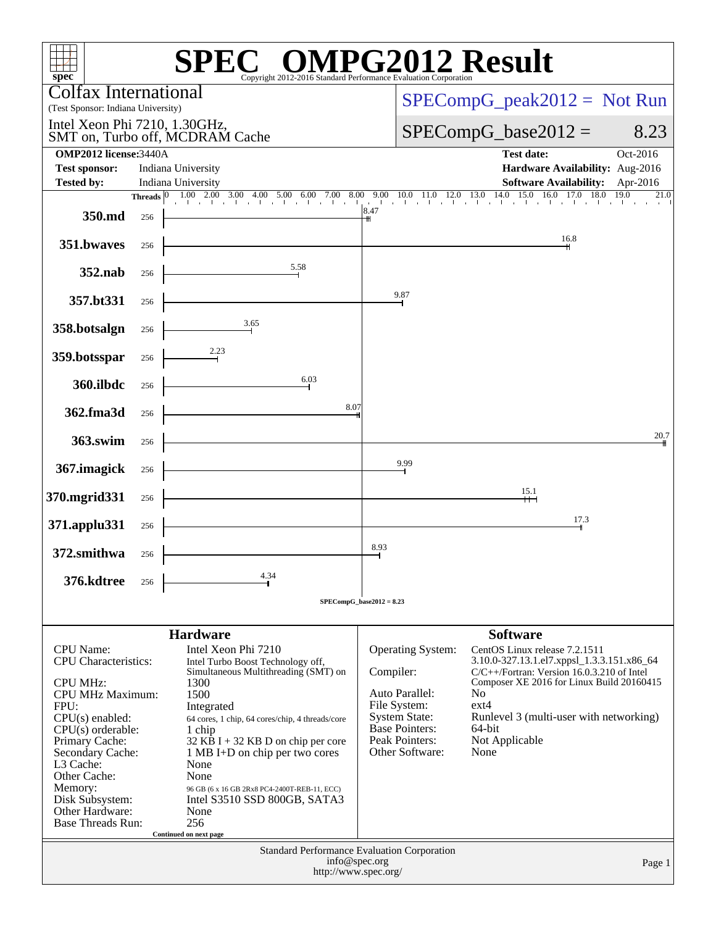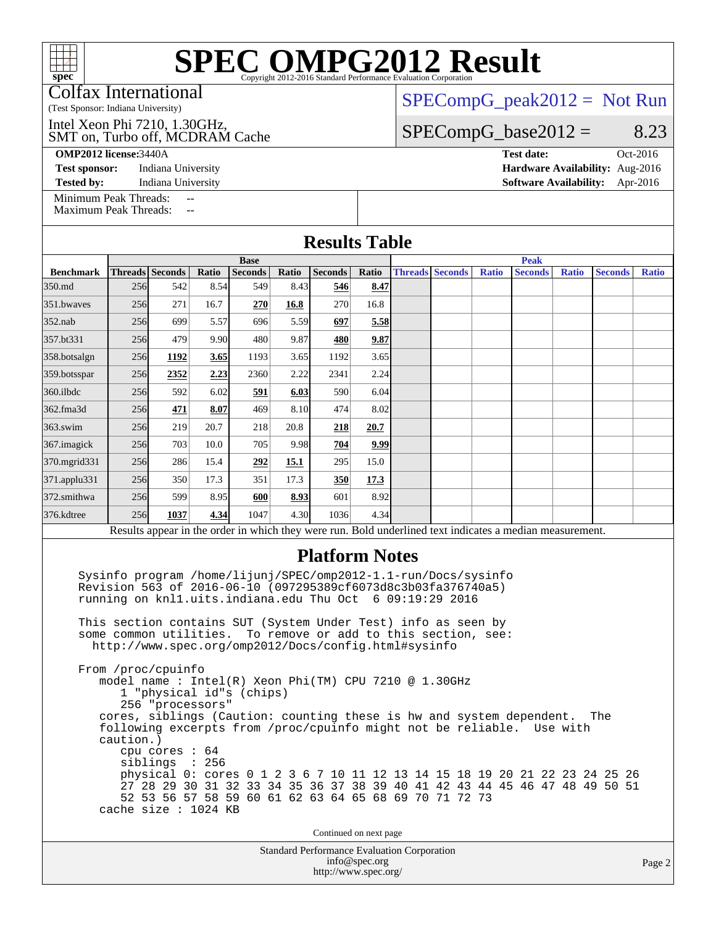Colfax International

(Test Sponsor: Indiana University)

SMT on, Turbo off, MCDRAM Cache Intel Xeon Phi 7210, 1.30GHz,

**[OMP2012 license:](http://www.spec.org/auto/omp2012/Docs/result-fields.html#OMP2012license)**3440A **[Test date:](http://www.spec.org/auto/omp2012/Docs/result-fields.html#Testdate)** Oct-2016

 $SPECompG_peak2012 = Not Run$  $SPECompG_peak2012 = Not Run$ 

### $SPECompG_base2012 = 8.23$  $SPECompG_base2012 = 8.23$

**[Test sponsor:](http://www.spec.org/auto/omp2012/Docs/result-fields.html#Testsponsor)** Indiana University **[Hardware Availability:](http://www.spec.org/auto/omp2012/Docs/result-fields.html#HardwareAvailability)** Aug-2016 **[Tested by:](http://www.spec.org/auto/omp2012/Docs/result-fields.html#Testedby)** Indiana University **[Software Availability:](http://www.spec.org/auto/omp2012/Docs/result-fields.html#SoftwareAvailability)** Apr-2016

[Minimum Peak Threads:](http://www.spec.org/auto/omp2012/Docs/result-fields.html#MinimumPeakThreads)

[Maximum Peak Threads:](http://www.spec.org/auto/omp2012/Docs/result-fields.html#MaximumPeakThreads) --

|                                                                                                          |                 |                                        |       |                                                                                                                                                                                             |       | <b>Results Table</b>                   |       |             |                        |              |                                                                      |              |                |              |  |
|----------------------------------------------------------------------------------------------------------|-----------------|----------------------------------------|-------|---------------------------------------------------------------------------------------------------------------------------------------------------------------------------------------------|-------|----------------------------------------|-------|-------------|------------------------|--------------|----------------------------------------------------------------------|--------------|----------------|--------------|--|
|                                                                                                          | <b>Base</b>     |                                        |       |                                                                                                                                                                                             |       |                                        |       | <b>Peak</b> |                        |              |                                                                      |              |                |              |  |
| <b>Benchmark</b>                                                                                         | Threads Seconds |                                        | Ratio | <b>Seconds</b>                                                                                                                                                                              | Ratio | <b>Seconds</b>                         | Ratio |             | <b>Threads Seconds</b> | <b>Ratio</b> | <b>Seconds</b>                                                       | <b>Ratio</b> | <b>Seconds</b> | <b>Ratio</b> |  |
| 350.md                                                                                                   | 256             | 542                                    | 8.54  | 549                                                                                                                                                                                         | 8.43  | 546                                    | 8.47  |             |                        |              |                                                                      |              |                |              |  |
| 351.bwayes                                                                                               | 256             | 271                                    | 16.7  | 270                                                                                                                                                                                         | 16.8  | 270                                    | 16.8  |             |                        |              |                                                                      |              |                |              |  |
| $352$ .nab                                                                                               | 256             | 699                                    | 5.57  | 696                                                                                                                                                                                         | 5.59  | 697                                    | 5.58  |             |                        |              |                                                                      |              |                |              |  |
| 357.bt331                                                                                                | 256             | 479                                    | 9.90  | 480                                                                                                                                                                                         | 9.87  | 480                                    | 9.87  |             |                        |              |                                                                      |              |                |              |  |
| 358.botsalgn                                                                                             | 256             | 1192                                   | 3.65  | 1193                                                                                                                                                                                        | 3.65  | 1192                                   | 3.65  |             |                        |              |                                                                      |              |                |              |  |
| 359.botsspar                                                                                             | 256             | 2352                                   | 2.23  | 2360                                                                                                                                                                                        | 2.22  | 2341                                   | 2.24  |             |                        |              |                                                                      |              |                |              |  |
| 360.ilbdc                                                                                                | 256             | 592                                    | 6.02  | 591                                                                                                                                                                                         | 6.03  | 590                                    | 6.04  |             |                        |              |                                                                      |              |                |              |  |
| 362.fma3d                                                                                                | 256             | 471                                    | 8.07  | 469                                                                                                                                                                                         | 8.10  | 474                                    | 8.02  |             |                        |              |                                                                      |              |                |              |  |
| $363$ .swim                                                                                              | 256             | 219                                    | 20.7  | 218                                                                                                                                                                                         | 20.8  | 218                                    | 20.7  |             |                        |              |                                                                      |              |                |              |  |
| 367.imagick                                                                                              | 256             | 703                                    | 10.0  | 705                                                                                                                                                                                         | 9.98  | 704                                    | 9.99  |             |                        |              |                                                                      |              |                |              |  |
| 370.mgrid331                                                                                             | 256             | 286                                    | 15.4  | 292                                                                                                                                                                                         | 15.1  | 295                                    | 15.0  |             |                        |              |                                                                      |              |                |              |  |
| 371.applu331                                                                                             | 256             | 350                                    | 17.3  | 351                                                                                                                                                                                         | 17.3  | 350                                    | 17.3  |             |                        |              |                                                                      |              |                |              |  |
| 372.smithwa                                                                                              | 256             | 599                                    | 8.95  | 600                                                                                                                                                                                         | 8.93  | 601                                    | 8.92  |             |                        |              |                                                                      |              |                |              |  |
| 376.kdtree                                                                                               | 256             | 1037                                   | 4.34  | 1047                                                                                                                                                                                        | 4.30  | 1036                                   | 4.34  |             |                        |              |                                                                      |              |                |              |  |
| Results appear in the order in which they were run. Bold underlined text indicates a median measurement. |                 |                                        |       |                                                                                                                                                                                             |       |                                        |       |             |                        |              |                                                                      |              |                |              |  |
|                                                                                                          |                 |                                        |       |                                                                                                                                                                                             |       | <b>Platform Notes</b>                  |       |             |                        |              |                                                                      |              |                |              |  |
|                                                                                                          |                 |                                        |       | Sysinfo program /home/lijunj/SPEC/omp2012-1.1-run/Docs/sysinfo<br>Revision 563 of 2016-06-10 (097295389cf6073d8c3b03fa376740a5)<br>running on knll.uits.indiana.edu Thu Oct 6 09:19:29 2016 |       |                                        |       |             |                        |              |                                                                      |              |                |              |  |
|                                                                                                          |                 | some common utilities.                 |       | This section contains SUT (System Under Test) info as seen by<br>http://www.spec.org/omp2012/Docs/config.html#sysinfo                                                                       |       | To remove or add to this section, see: |       |             |                        |              |                                                                      |              |                |              |  |
|                                                                                                          |                 | From /proc/cpuinfo<br>256 "processors" |       | model name: Intel(R) Xeon Phi(TM) CPU 7210 @ 1.30GHz<br>1 "physical id"s (chips)                                                                                                            |       |                                        |       |             |                        |              | cores, siblings (Caution: counting these is hw and system dependent. |              | The            |              |  |

 following excerpts from /proc/cpuinfo might not be reliable. Use with caution.)

 cpu cores : 64 siblings : 256 physical 0: cores 0 1 2 3 6 7 10 11 12 13 14 15 18 19 20 21 22 23 24 25 26 27 28 29 30 31 32 33 34 35 36 37 38 39 40 41 42 43 44 45 46 47 48 49 50 51 52 53 56 57 58 59 60 61 62 63 64 65 68 69 70 71 72 73 cache size : 1024 KB

Continued on next page

Standard Performance Evaluation Corporation [info@spec.org](mailto:info@spec.org) <http://www.spec.org/>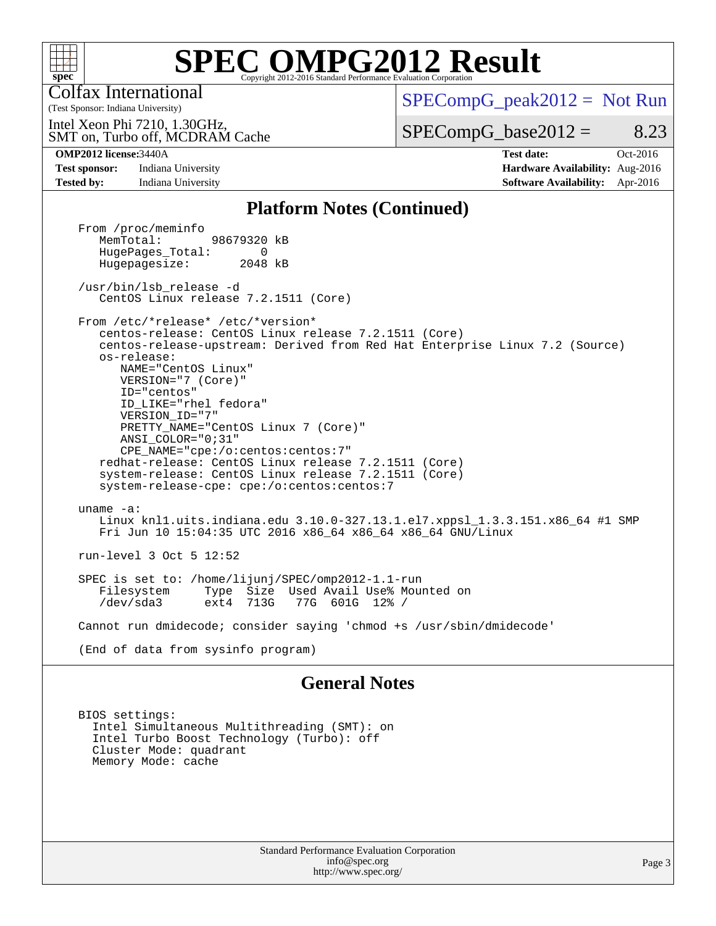

Colfax International

 $SPECompG_peak2012 = Not Run$  $SPECompG_peak2012 = Not Run$ 

SMT on, Turbo off, MCDRAM Cache Intel Xeon Phi 7210, 1.30GHz,

 $SPECompG_base2012 = 8.23$  $SPECompG_base2012 = 8.23$ 

(Test Sponsor: Indiana University)

**[Tested by:](http://www.spec.org/auto/omp2012/Docs/result-fields.html#Testedby)** Indiana University **[Software Availability:](http://www.spec.org/auto/omp2012/Docs/result-fields.html#SoftwareAvailability)** Apr-2016

**[OMP2012 license:](http://www.spec.org/auto/omp2012/Docs/result-fields.html#OMP2012license)**3440A **[Test date:](http://www.spec.org/auto/omp2012/Docs/result-fields.html#Testdate)** Oct-2016 **[Test sponsor:](http://www.spec.org/auto/omp2012/Docs/result-fields.html#Testsponsor)** Indiana University **[Hardware Availability:](http://www.spec.org/auto/omp2012/Docs/result-fields.html#HardwareAvailability)** Aug-2016

#### **[Platform Notes \(Continued\)](http://www.spec.org/auto/omp2012/Docs/result-fields.html#PlatformNotes)**

From /proc/meminfo<br>MemTotal: 98679320 kB HugePages\_Total: 0<br>Hugepagesize: 2048 kB Hugepagesize: /usr/bin/lsb\_release -d CentOS Linux release 7.2.1511 (Core) From /etc/\*release\* /etc/\*version\* centos-release: CentOS Linux release 7.2.1511 (Core) centos-release-upstream: Derived from Red Hat Enterprise Linux 7.2 (Source) os-release: NAME="CentOS Linux" VERSION="7 (Core)" ID="centos" ID\_LIKE="rhel fedora" VERSION\_ID="7" PRETTY\_NAME="CentOS Linux 7 (Core)" ANSI\_COLOR="0;31" CPE\_NAME="cpe:/o:centos:centos:7" redhat-release: CentOS Linux release 7.2.1511 (Core) system-release: CentOS Linux release 7.2.1511 (Core) system-release-cpe: cpe:/o:centos:centos:7 uname -a: Linux knl1.uits.indiana.edu 3.10.0-327.13.1.el7.xppsl\_1.3.3.151.x86\_64 #1 SMP Fri Jun 10 15:04:35 UTC 2016 x86\_64 x86\_64 x86\_64 GNU/Linux run-level 3 Oct 5 12:52 SPEC is set to: /home/lijunj/SPEC/omp2012-1.1-run Type Size Used Avail Use% Mounted on<br>ext4 713G 77G 601G 12% / /dev/sda3 ext4 713G 77G 601G 12% / Cannot run dmidecode; consider saying 'chmod +s /usr/sbin/dmidecode' (End of data from sysinfo program)

#### **[General Notes](http://www.spec.org/auto/omp2012/Docs/result-fields.html#GeneralNotes)**

 BIOS settings: Intel Simultaneous Multithreading (SMT): on Intel Turbo Boost Technology (Turbo): off Cluster Mode: quadrant Memory Mode: cache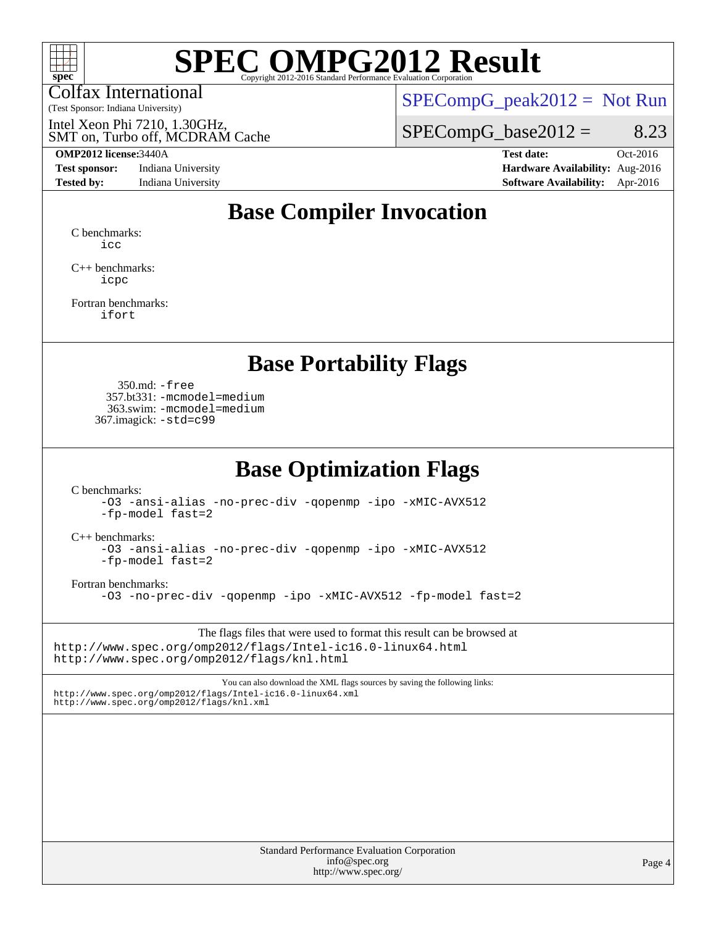

Colfax International

(Test Sponsor: Indiana University)

 $SPECompG_peak2012 = Not Run$  $SPECompG_peak2012 = Not Run$ 

SMT on, Turbo off, MCDRAM Cache Intel Xeon Phi 7210, 1.30GHz,

#### **[OMP2012 license:](http://www.spec.org/auto/omp2012/Docs/result-fields.html#OMP2012license)**3440A **[Test date:](http://www.spec.org/auto/omp2012/Docs/result-fields.html#Testdate)** Oct-2016

**[Test sponsor:](http://www.spec.org/auto/omp2012/Docs/result-fields.html#Testsponsor)** Indiana University **[Hardware Availability:](http://www.spec.org/auto/omp2012/Docs/result-fields.html#HardwareAvailability)** Aug-2016

 $SPECompG_base2012 = 8.23$  $SPECompG_base2012 = 8.23$ 

**[Tested by:](http://www.spec.org/auto/omp2012/Docs/result-fields.html#Testedby)** Indiana University **[Software Availability:](http://www.spec.org/auto/omp2012/Docs/result-fields.html#SoftwareAvailability)** Apr-2016

## **[Base Compiler Invocation](http://www.spec.org/auto/omp2012/Docs/result-fields.html#BaseCompilerInvocation)**

[C benchmarks](http://www.spec.org/auto/omp2012/Docs/result-fields.html#Cbenchmarks): [icc](http://www.spec.org/omp2012/results/res2016q4/omp2012-20161014-00085.flags.html#user_CCbase_intel_icc_a87c68a857bc5ec5362391a49d3a37a6)

[C++ benchmarks:](http://www.spec.org/auto/omp2012/Docs/result-fields.html#CXXbenchmarks) [icpc](http://www.spec.org/omp2012/results/res2016q4/omp2012-20161014-00085.flags.html#user_CXXbase_intel_icpc_2d899f8d163502b12eb4a60069f80c1c)

[Fortran benchmarks](http://www.spec.org/auto/omp2012/Docs/result-fields.html#Fortranbenchmarks): [ifort](http://www.spec.org/omp2012/results/res2016q4/omp2012-20161014-00085.flags.html#user_FCbase_intel_ifort_8a5e5e06b19a251bdeaf8fdab5d62f20)

### **[Base Portability Flags](http://www.spec.org/auto/omp2012/Docs/result-fields.html#BasePortabilityFlags)**

 350.md: [-free](http://www.spec.org/omp2012/results/res2016q4/omp2012-20161014-00085.flags.html#user_baseFPORTABILITY350_md_f-FR_e51be0673775d2012b3310fa5323f530) 357.bt331: [-mcmodel=medium](http://www.spec.org/omp2012/results/res2016q4/omp2012-20161014-00085.flags.html#user_baseFPORTABILITY357_bt331_f-mcmodel_3a41622424bdd074c4f0f2d2f224c7e5) 363.swim: [-mcmodel=medium](http://www.spec.org/omp2012/results/res2016q4/omp2012-20161014-00085.flags.html#user_baseFPORTABILITY363_swim_f-mcmodel_3a41622424bdd074c4f0f2d2f224c7e5) 367.imagick: [-std=c99](http://www.spec.org/omp2012/results/res2016q4/omp2012-20161014-00085.flags.html#user_baseCPORTABILITY367_imagick_f-std_2ec6533b6e06f1c4a6c9b78d9e9cde24)

### **[Base Optimization Flags](http://www.spec.org/auto/omp2012/Docs/result-fields.html#BaseOptimizationFlags)**

[C benchmarks](http://www.spec.org/auto/omp2012/Docs/result-fields.html#Cbenchmarks):

[-O3](http://www.spec.org/omp2012/results/res2016q4/omp2012-20161014-00085.flags.html#user_CCbase_f-O3) [-ansi-alias](http://www.spec.org/omp2012/results/res2016q4/omp2012-20161014-00085.flags.html#user_CCbase_f-ansi-alias) [-no-prec-div](http://www.spec.org/omp2012/results/res2016q4/omp2012-20161014-00085.flags.html#user_CCbase_f-no-prec-div) [-qopenmp](http://www.spec.org/omp2012/results/res2016q4/omp2012-20161014-00085.flags.html#user_CCbase_f-qopenmp) [-ipo](http://www.spec.org/omp2012/results/res2016q4/omp2012-20161014-00085.flags.html#user_CCbase_f-ipo) [-xMIC-AVX512](http://www.spec.org/omp2012/results/res2016q4/omp2012-20161014-00085.flags.html#user_CCbase_f-xMIC-AVX512) [-fp-model fast=2](http://www.spec.org/omp2012/results/res2016q4/omp2012-20161014-00085.flags.html#user_CCbase_f-fp-model_a7fb8ccb7275e23f0079632c153cfcab)

[C++ benchmarks:](http://www.spec.org/auto/omp2012/Docs/result-fields.html#CXXbenchmarks)

[-O3](http://www.spec.org/omp2012/results/res2016q4/omp2012-20161014-00085.flags.html#user_CXXbase_f-O3) [-ansi-alias](http://www.spec.org/omp2012/results/res2016q4/omp2012-20161014-00085.flags.html#user_CXXbase_f-ansi-alias) [-no-prec-div](http://www.spec.org/omp2012/results/res2016q4/omp2012-20161014-00085.flags.html#user_CXXbase_f-no-prec-div) [-qopenmp](http://www.spec.org/omp2012/results/res2016q4/omp2012-20161014-00085.flags.html#user_CXXbase_f-qopenmp) [-ipo](http://www.spec.org/omp2012/results/res2016q4/omp2012-20161014-00085.flags.html#user_CXXbase_f-ipo) [-xMIC-AVX512](http://www.spec.org/omp2012/results/res2016q4/omp2012-20161014-00085.flags.html#user_CXXbase_f-xMIC-AVX512) [-fp-model fast=2](http://www.spec.org/omp2012/results/res2016q4/omp2012-20161014-00085.flags.html#user_CXXbase_f-fp-model_a7fb8ccb7275e23f0079632c153cfcab)

[Fortran benchmarks](http://www.spec.org/auto/omp2012/Docs/result-fields.html#Fortranbenchmarks):

[-O3](http://www.spec.org/omp2012/results/res2016q4/omp2012-20161014-00085.flags.html#user_FCbase_f-O3) [-no-prec-div](http://www.spec.org/omp2012/results/res2016q4/omp2012-20161014-00085.flags.html#user_FCbase_f-no-prec-div) [-qopenmp](http://www.spec.org/omp2012/results/res2016q4/omp2012-20161014-00085.flags.html#user_FCbase_f-qopenmp) [-ipo](http://www.spec.org/omp2012/results/res2016q4/omp2012-20161014-00085.flags.html#user_FCbase_f-ipo) [-xMIC-AVX512](http://www.spec.org/omp2012/results/res2016q4/omp2012-20161014-00085.flags.html#user_FCbase_f-xMIC-AVX512) [-fp-model fast=2](http://www.spec.org/omp2012/results/res2016q4/omp2012-20161014-00085.flags.html#user_FCbase_f-fp-model_a7fb8ccb7275e23f0079632c153cfcab)

The flags files that were used to format this result can be browsed at <http://www.spec.org/omp2012/flags/Intel-ic16.0-linux64.html> <http://www.spec.org/omp2012/flags/knl.html>

You can also download the XML flags sources by saving the following links: <http://www.spec.org/omp2012/flags/Intel-ic16.0-linux64.xml> <http://www.spec.org/omp2012/flags/knl.xml>

> Standard Performance Evaluation Corporation [info@spec.org](mailto:info@spec.org) <http://www.spec.org/>